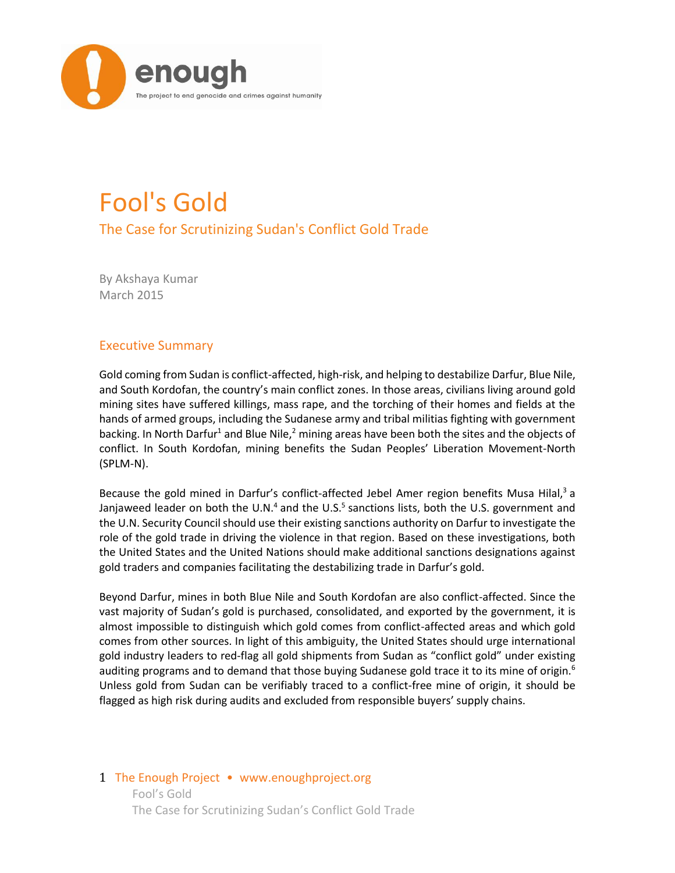

# Fool's Gold

The Case for Scrutinizing Sudan's Conflict Gold Trade

By Akshaya Kumar March 2015

# Executive Summary

Gold coming from Sudan is conflict-affected, high-risk, and helping to destabilize Darfur, Blue Nile, and South Kordofan, the country's main conflict zones. In those areas, civilians living around gold mining sites have suffered killings, mass rape, and the torching of their homes and fields at the hands of armed groups, including the Sudanese army and tribal militias fighting with government backing. In North Darfur<sup>1</sup> and Blue Nile,<sup>2</sup> mining areas have been both the sites and the objects of conflict. In South Kordofan, mining benefits the Sudan Peoples' Liberation Movement-North (SPLM-N).

Because the gold mined in Darfur's conflict-affected Jebel Amer region benefits Musa Hilal,<sup>3</sup> a Janjaweed leader on both the U.N.<sup>4</sup> and the U.S.<sup>5</sup> sanctions lists, both the U.S. government and the U.N. Security Council should use their existing sanctions authority on Darfur to investigate the role of the gold trade in driving the violence in that region. Based on these investigations, both the United States and the United Nations should make additional sanctions designations against gold traders and companies facilitating the destabilizing trade in Darfur's gold.

Beyond Darfur, mines in both Blue Nile and South Kordofan are also conflict-affected. Since the vast majority of Sudan's gold is purchased, consolidated, and exported by the government, it is almost impossible to distinguish which gold comes from conflict-affected areas and which gold comes from other sources. In light of this ambiguity, the United States should urge international gold industry leaders to red-flag all gold shipments from Sudan as "conflict gold" under existing auditing programs and to demand that those buying Sudanese gold trace it to its mine of origin.<sup>6</sup> Unless gold from Sudan can be verifiably traced to a conflict-free mine of origin, it should be flagged as high risk during audits and excluded from responsible buyers' supply chains.

## 1 The Enough Project • www.enoughproject.org Fool's Gold The Case for Scrutinizing Sudan's Conflict Gold Trade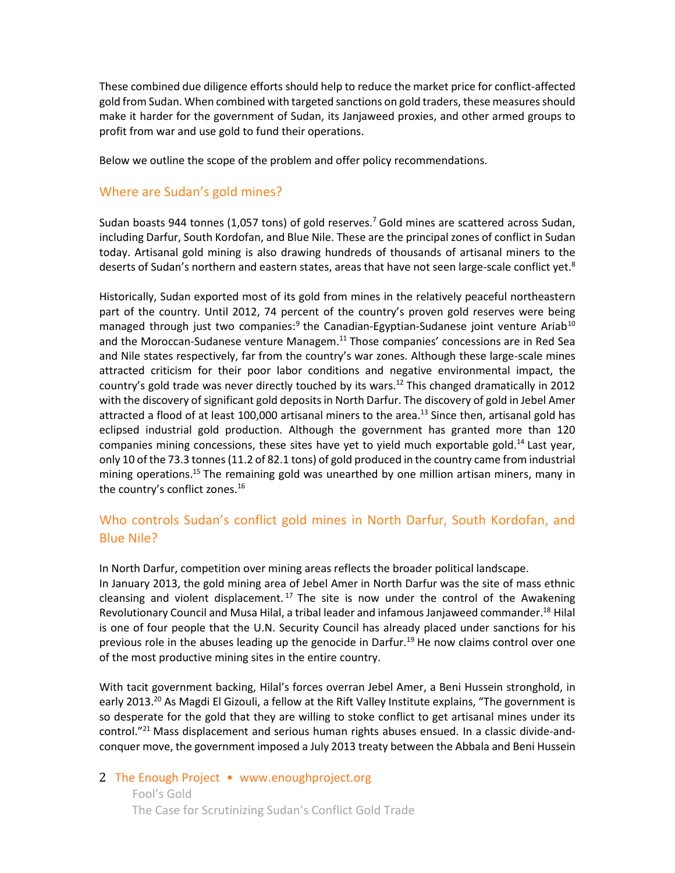These combined due diligence efforts should help to reduce the market price for conflict-affected gold from Sudan. When combined with targeted sanctions on gold traders, these measures should make it harder for the government of Sudan, its Janjaweed proxies, and other armed groups to profit from war and use gold to fund their operations.

Below we outline the scope of the problem and offer policy recommendations.

## Where are Sudan's gold mines?

Sudan boasts 944 tonnes (1,057 tons) of gold reserves.<sup>7</sup> Gold mines are scattered across Sudan, including Darfur, South Kordofan, and Blue Nile. These are the principal zones of conflict in Sudan today. Artisanal gold mining is also drawing hundreds of thousands of artisanal miners to the deserts of Sudan's northern and eastern states, areas that have not seen large-scale conflict yet.<sup>8</sup>

Historically, Sudan exported most of its gold from mines in the relatively peaceful northeastern part of the country. Until 2012, 74 percent of the country's proven gold reserves were being managed through just two companies:<sup>9</sup> the Canadian-Egyptian-Sudanese joint venture Ariab<sup>10</sup> and the Moroccan-Sudanese venture Managem.<sup>11</sup> Those companies' concessions are in Red Sea and Nile states respectively, far from the country's war zones. Although these large-scale mines attracted criticism for their poor labor conditions and negative environmental impact, the country's gold trade was never directly touched by its wars.<sup>12</sup> This changed dramatically in 2012 with the discovery of significant gold deposits in North Darfur. The discovery of gold in Jebel Amer attracted a flood of at least 100,000 artisanal miners to the area.<sup>13</sup> Since then, artisanal gold has eclipsed industrial gold production. Although the government has granted more than 120 companies mining concessions, these sites have yet to yield much exportable gold.<sup>14</sup> Last year, only 10 of the 73.3 tonnes (11.2 of 82.1 tons) of gold produced in the country came from industrial mining operations.<sup>15</sup> The remaining gold was unearthed by one million artisan miners, many in the country's conflict zones. 16

# Who controls Sudan's conflict gold mines in North Darfur, South Kordofan, and Blue Nile?

In North Darfur, competition over mining areas reflects the broader political landscape.

In January 2013, the gold mining area of Jebel Amer in North Darfur was the site of mass ethnic cleansing and violent displacement.<sup>17</sup> The site is now under the control of the Awakening Revolutionary Council and Musa Hilal, a tribal leader and infamous Janjaweed commander.<sup>18</sup> Hilal is one of four people that the U.N. Security Council has already placed under sanctions for his previous role in the abuses leading up the genocide in Darfur.<sup>19</sup> He now claims control over one of the most productive mining sites in the entire country.

With tacit government backing, Hilal's forces overran Jebel Amer, a Beni Hussein stronghold, in early 2013.<sup>20</sup> As Magdi El Gizouli, a fellow at the Rift Valley Institute explains, "The government is so desperate for the gold that they are willing to stoke conflict to get artisanal mines under its control."<sup>21</sup> Mass displacement and serious human rights abuses ensued. In a classic divide-andconquer move, the government imposed a July 2013 treaty between the Abbala and Beni Hussein

## 2 The Enough Project • www.enoughproject.org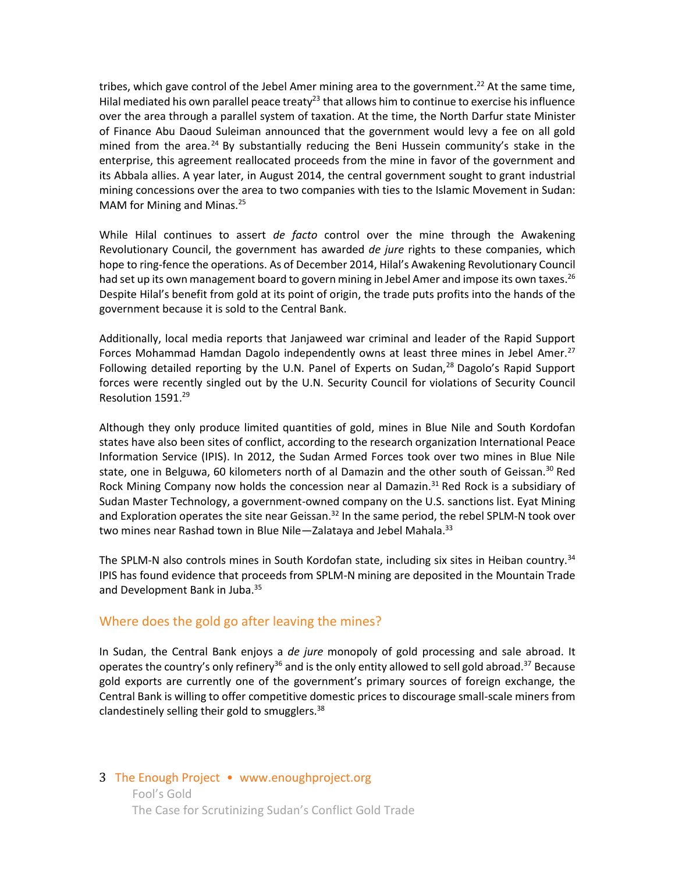tribes, which gave control of the Jebel Amer mining area to the government.<sup>22</sup> At the same time, Hilal mediated his own parallel peace treaty<sup>23</sup> that allows him to continue to exercise his influence over the area through a parallel system of taxation. At the time, the North Darfur state Minister of Finance Abu Daoud Suleiman announced that the government would levy a fee on all gold mined from the area.<sup>24</sup> By substantially reducing the Beni Hussein community's stake in the enterprise, this agreement reallocated proceeds from the mine in favor of the government and its Abbala allies. A year later, in August 2014, the central government sought to grant industrial mining concessions over the area to two companies with ties to the Islamic Movement in Sudan: MAM for Mining and Minas.<sup>25</sup>

While Hilal continues to assert *de facto* control over the mine through the Awakening Revolutionary Council, the government has awarded *de jure* rights to these companies, which hope to ring-fence the operations. As of December 2014, Hilal's Awakening Revolutionary Council had set up its own management board to govern mining in Jebel Amer and impose its own taxes.<sup>26</sup> Despite Hilal's benefit from gold at its point of origin, the trade puts profits into the hands of the government because it is sold to the Central Bank.

Additionally, local media reports that Janjaweed war criminal and leader of the Rapid Support Forces Mohammad Hamdan Dagolo independently owns at least three mines in Jebel Amer.<sup>27</sup> Following detailed reporting by the U.N. Panel of Experts on Sudan, $^{28}$  Dagolo's Rapid Support forces were recently singled out by the U.N. Security Council for violations of Security Council Resolution 1591.<sup>29</sup>

Although they only produce limited quantities of gold, mines in Blue Nile and South Kordofan states have also been sites of conflict, according to the research organization International Peace Information Service (IPIS). In 2012, the Sudan Armed Forces took over two mines in Blue Nile state, one in Belguwa, 60 kilometers north of al Damazin and the other south of Geissan.<sup>30</sup> Red Rock Mining Company now holds the concession near al Damazin.<sup>31</sup> Red Rock is a subsidiary of Sudan Master Technology, a government-owned company on the U.S. sanctions list. Eyat Mining and Exploration operates the site near Geissan.<sup>32</sup> In the same period, the rebel SPLM-N took over two mines near Rashad town in Blue Nile-Zalataya and Jebel Mahala.<sup>33</sup>

The SPLM-N also controls mines in South Kordofan state, including six sites in Heiban country.<sup>34</sup> IPIS has found evidence that proceeds from SPLM-N mining are deposited in the Mountain Trade and Development Bank in Juba.<sup>35</sup>

#### Where does the gold go after leaving the mines?

In Sudan, the Central Bank enjoys a *de jure* monopoly of gold processing and sale abroad. It operates the country's only refinery<sup>36</sup> and is the only entity allowed to sell gold abroad.<sup>37</sup> Because gold exports are currently one of the government's primary sources of foreign exchange, the Central Bank is willing to offer competitive domestic prices to discourage small-scale miners from clandestinely selling their gold to smugglers. $38$ 

## 3 The Enough Project • www.enoughproject.org Fool's Gold The Case for Scrutinizing Sudan's Conflict Gold Trade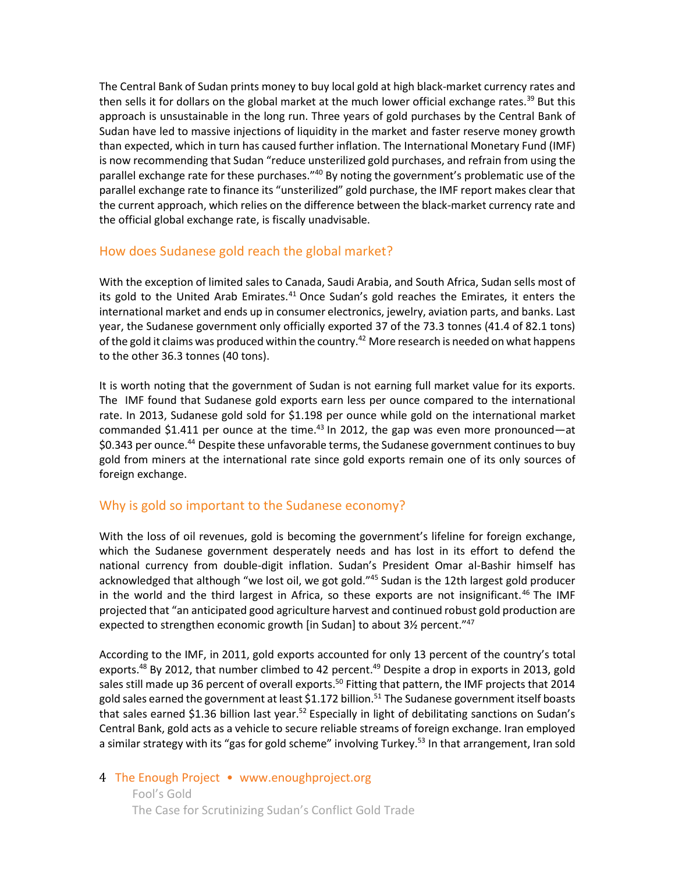The Central Bank of Sudan prints money to buy local gold at high black-market currency rates and then sells it for dollars on the global market at the much lower official exchange rates.<sup>39</sup> But this approach is unsustainable in the long run. Three years of gold purchases by the Central Bank of Sudan have led to massive injections of liquidity in the market and faster reserve money growth than expected, which in turn has caused further inflation. The International Monetary Fund (IMF) is now recommending that Sudan "reduce unsterilized gold purchases, and refrain from using the parallel exchange rate for these purchases."<sup>40</sup> By noting the government's problematic use of the parallel exchange rate to finance its "unsterilized" gold purchase, the IMF report makes clear that the current approach, which relies on the difference between the black-market currency rate and the official global exchange rate, is fiscally unadvisable.

# How does Sudanese gold reach the global market?

With the exception of limited sales to Canada, Saudi Arabia, and South Africa, Sudan sells most of its gold to the United Arab Emirates.<sup>41</sup> Once Sudan's gold reaches the Emirates, it enters the international market and ends up in consumer electronics, jewelry, aviation parts, and banks. Last year, the Sudanese government only officially exported 37 of the 73.3 tonnes (41.4 of 82.1 tons) of the gold it claims was produced within the country.<sup>42</sup> More research is needed on what happens to the other 36.3 tonnes (40 tons).

It is worth noting that the government of Sudan is not earning full market value for its exports. The IMF found that Sudanese gold exports earn less per ounce compared to the international rate. In 2013, Sudanese gold sold for \$1.198 per ounce while gold on the international market commanded \$1.411 per ounce at the time.<sup>43</sup> In 2012, the gap was even more pronounced—at \$0.343 per ounce.<sup>44</sup> Despite these unfavorable terms, the Sudanese government continues to buy gold from miners at the international rate since gold exports remain one of its only sources of foreign exchange.

# Why is gold so important to the Sudanese economy?

With the loss of oil revenues, gold is becoming the government's lifeline for foreign exchange, which the Sudanese government desperately needs and has lost in its effort to defend the national currency from double-digit inflation. Sudan's President Omar al-Bashir himself has acknowledged that although "we lost oil, we got gold."<sup>45</sup> Sudan is the 12th largest gold producer in the world and the third largest in Africa, so these exports are not insignificant.<sup>46</sup> The IMF projected that "an anticipated good agriculture harvest and continued robust gold production are expected to strengthen economic growth [in Sudan] to about 3<sup>1</sup>/<sub>2</sub> percent.<sup>"47</sup>

According to the IMF, in 2011, gold exports accounted for only 13 percent of the country's total exports.<sup>48</sup> By 2012, that number climbed to 42 percent.<sup>49</sup> Despite a drop in exports in 2013, gold sales still made up 36 percent of overall exports.<sup>50</sup> Fitting that pattern, the IMF projects that 2014 gold sales earned the government at least \$1.172 billion.<sup>51</sup> The Sudanese government itself boasts that sales earned \$1.36 billion last year.<sup>52</sup> Especially in light of debilitating sanctions on Sudan's Central Bank, gold acts as a vehicle to secure reliable streams of foreign exchange. Iran employed a similar strategy with its "gas for gold scheme" involving Turkey.<sup>53</sup> In that arrangement, Iran sold

## 4 The Enough Project • www.enoughproject.org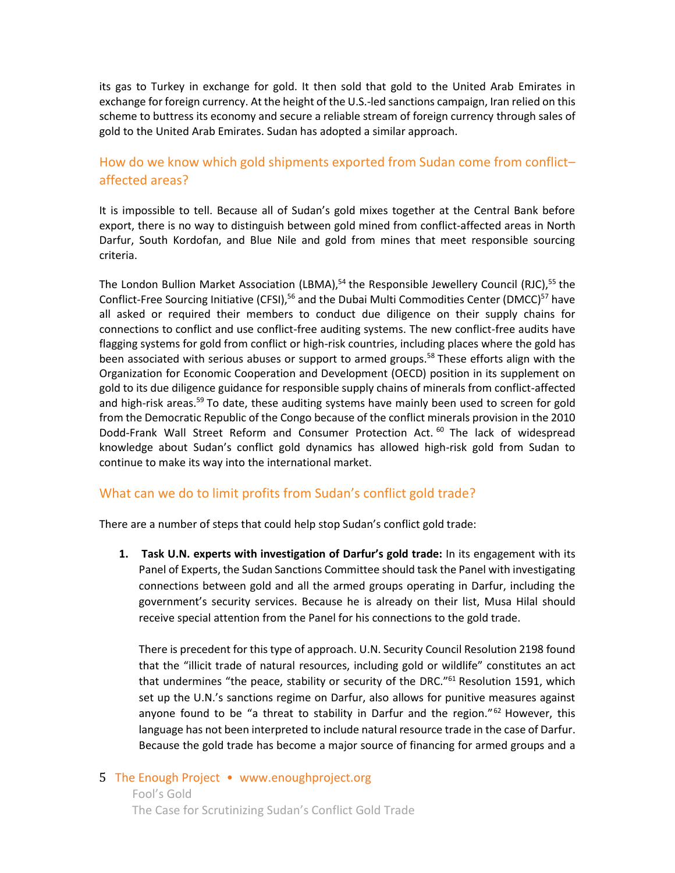its gas to Turkey in exchange for gold. It then sold that gold to the United Arab Emirates in exchange for foreign currency. At the height of the U.S.-led sanctions campaign, Iran relied on this scheme to buttress its economy and secure a reliable stream of foreign currency through sales of gold to the United Arab Emirates. Sudan has adopted a similar approach.

# How do we know which gold shipments exported from Sudan come from conflict– affected areas?

It is impossible to tell. Because all of Sudan's gold mixes together at the Central Bank before export, there is no way to distinguish between gold mined from conflict-affected areas in North Darfur, South Kordofan, and Blue Nile and gold from mines that meet responsible sourcing criteria.

The London Bullion Market Association (LBMA),<sup>54</sup> the Responsible Jewellery Council (RJC),<sup>55</sup> the Conflict-Free Sourcing Initiative (CFSI),<sup>56</sup> and the Dubai Multi Commodities Center (DMCC)<sup>57</sup> have all asked or required their members to conduct due diligence on their supply chains for connections to conflict and use conflict-free auditing systems. The new conflict-free audits have flagging systems for gold from conflict or high-risk countries, including places where the gold has been associated with serious abuses or support to armed groups.<sup>58</sup> These efforts align with the Organization for Economic Cooperation and Development (OECD) position in its supplement on gold to its due diligence guidance for responsible supply chains of minerals from conflict-affected and high-risk areas.<sup>59</sup> To date, these auditing systems have mainly been used to screen for gold from the Democratic Republic of the Congo because of the conflict minerals provision in the 2010 Dodd-Frank Wall Street Reform and Consumer Protection Act. <sup>60</sup> The lack of widespread knowledge about Sudan's conflict gold dynamics has allowed high-risk gold from Sudan to continue to make its way into the international market.

#### What can we do to limit profits from Sudan's conflict gold trade?

There are a number of steps that could help stop Sudan's conflict gold trade:

**1. Task U.N. experts with investigation of Darfur's gold trade:** In its engagement with its Panel of Experts, the Sudan Sanctions Committee should task the Panel with investigating connections between gold and all the armed groups operating in Darfur, including the government's security services. Because he is already on their list, Musa Hilal should receive special attention from the Panel for his connections to the gold trade.

There is precedent for this type of approach. U.N. Security Council Resolution 2198 found that the "illicit trade of natural resources, including gold or wildlife" constitutes an act that undermines "the peace, stability or security of the DRC." $61$  Resolution 1591, which set up the U.N.'s sanctions regime on Darfur, also allows for punitive measures against anyone found to be "a threat to stability in Darfur and the region."<sup>62</sup> However, this language has not been interpreted to include natural resource trade in the case of Darfur. Because the gold trade has become a major source of financing for armed groups and a

## 5 The Enough Project • www.enoughproject.org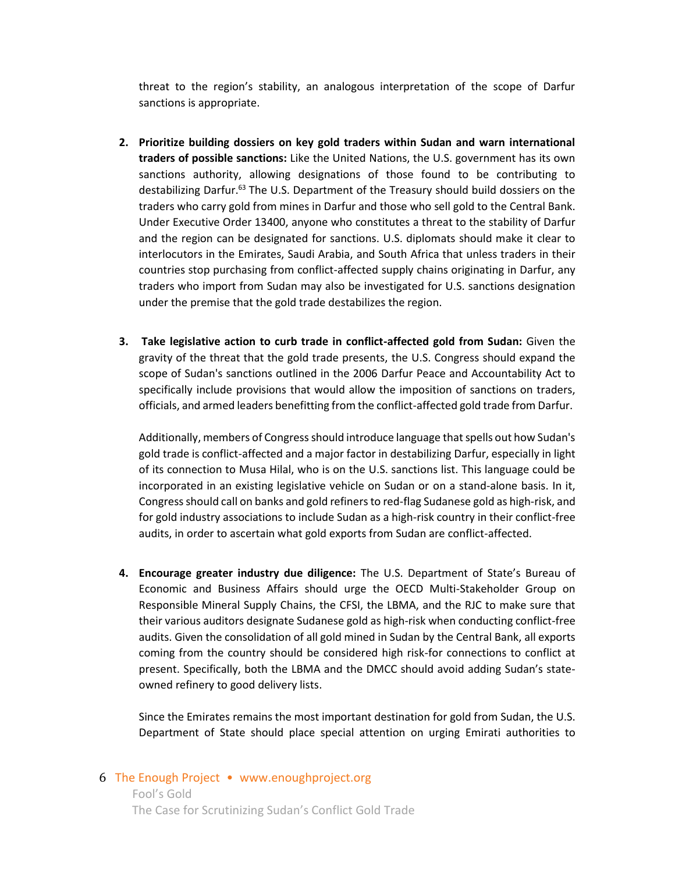threat to the region's stability, an analogous interpretation of the scope of Darfur sanctions is appropriate.

- **2. Prioritize building dossiers on key gold traders within Sudan and warn international traders of possible sanctions:** Like the United Nations, the U.S. government has its own sanctions authority, allowing designations of those found to be contributing to destabilizing Darfur.<sup>63</sup> The U.S. Department of the Treasury should build dossiers on the traders who carry gold from mines in Darfur and those who sell gold to the Central Bank. Under Executive Order 13400, anyone who constitutes a threat to the stability of Darfur and the region can be designated for sanctions. U.S. diplomats should make it clear to interlocutors in the Emirates, Saudi Arabia, and South Africa that unless traders in their countries stop purchasing from conflict-affected supply chains originating in Darfur, any traders who import from Sudan may also be investigated for U.S. sanctions designation under the premise that the gold trade destabilizes the region.
- **3. Take legislative action to curb trade in conflict-affected gold from Sudan:** Given the gravity of the threat that the gold trade presents, the U.S. Congress should expand the scope of Sudan's sanctions outlined in the 2006 Darfur Peace and Accountability Act to specifically include provisions that would allow the imposition of sanctions on traders, officials, and armed leaders benefitting from the conflict-affected gold trade from Darfur.

Additionally, members of Congress should introduce language that spells out how Sudan's gold trade is conflict-affected and a major factor in destabilizing Darfur, especially in light of its connection to Musa Hilal, who is on the U.S. sanctions list. This language could be incorporated in an existing legislative vehicle on Sudan or on a stand-alone basis. In it, Congress should call on banks and gold refiners to red-flag Sudanese gold as high-risk, and for gold industry associations to include Sudan as a high-risk country in their conflict-free audits, in order to ascertain what gold exports from Sudan are conflict-affected.

**4. Encourage greater industry due diligence:** The U.S. Department of State's Bureau of Economic and Business Affairs should urge the OECD Multi-Stakeholder Group on Responsible Mineral Supply Chains, the CFSI, the LBMA, and the RJC to make sure that their various auditors designate Sudanese gold as high-risk when conducting conflict-free audits. Given the consolidation of all gold mined in Sudan by the Central Bank, all exports coming from the country should be considered high risk-for connections to conflict at present. Specifically, both the LBMA and the DMCC should avoid adding Sudan's stateowned refinery to good delivery lists.

Since the Emirates remains the most important destination for gold from Sudan, the U.S. Department of State should place special attention on urging Emirati authorities to

#### 6 The Enough Project • www.enoughproject.org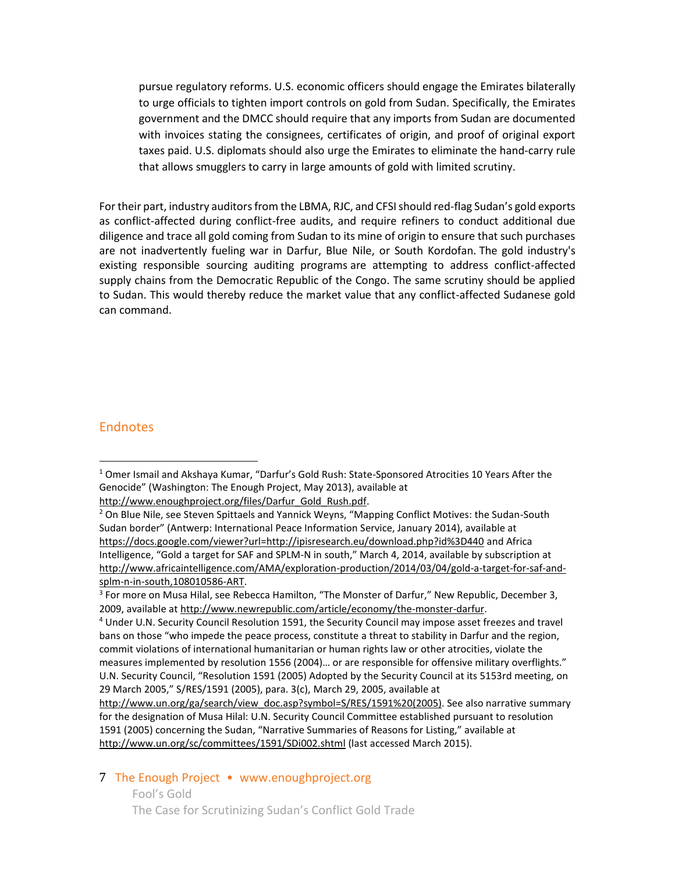pursue regulatory reforms. U.S. economic officers should engage the Emirates bilaterally to urge officials to tighten import controls on gold from Sudan. Specifically, the Emirates government and the DMCC should require that any imports from Sudan are documented with invoices stating the consignees, certificates of origin, and proof of original export taxes paid. U.S. diplomats should also urge the Emirates to eliminate the hand-carry rule that allows smugglers to carry in large amounts of gold with limited scrutiny.

For their part, industry auditors from the LBMA, RJC, and CFSI should red-flag Sudan's gold exports as conflict-affected during conflict-free audits, and require refiners to conduct additional due diligence and trace all gold coming from Sudan to its mine of origin to ensure that such purchases are not inadvertently fueling war in Darfur, Blue Nile, or South Kordofan. The gold industry's existing responsible sourcing auditing programs are attempting to address conflict-affected supply chains from the Democratic Republic of the Congo. The same scrutiny should be applied to Sudan. This would thereby reduce the market value that any conflict-affected Sudanese gold can command.

#### **Endnotes**

 $\overline{a}$ 

#### 7 The Enough Project • www.enoughproject.org

 $1$  Omer Ismail and Akshaya Kumar, "Darfur's Gold Rush: State-Sponsored Atrocities 10 Years After the Genocide" (Washington: The Enough Project, May 2013), available at [http://www.enoughproject.org/files/Darfur\\_Gold\\_Rush.pdf.](http://www.enoughproject.org/files/Darfur_Gold_Rush.pdf)

<sup>&</sup>lt;sup>2</sup> On Blue Nile, see Steven Spittaels and Yannick Weyns, "Mapping Conflict Motives: the Sudan-South Sudan border" (Antwerp: International Peace Information Service, January 2014), available at <https://docs.google.com/viewer?url=http://ipisresearch.eu/download.php?id%3D440> and Africa Intelligence, "Gold a target for SAF and SPLM-N in south," March 4, 2014, available by subscription at [http://www.africaintelligence.com/AMA/exploration-production/2014/03/04/gold-a-target-for-saf-and](http://www.africaintelligence.com/AMA/exploration-production/2014/03/04/gold-a-target-for-saf-and-splm-n-in-south,108010586-ART)[splm-n-in-south,108010586-ART.](http://www.africaintelligence.com/AMA/exploration-production/2014/03/04/gold-a-target-for-saf-and-splm-n-in-south,108010586-ART)

<sup>&</sup>lt;sup>3</sup> For more on Musa Hilal, see Rebecca Hamilton, "The Monster of Darfur," New Republic, December 3, 2009, available a[t http://www.newrepublic.com/article/economy/the-monster-darfur.](http://www.newrepublic.com/article/economy/the-monster-darfur)

<sup>&</sup>lt;sup>4</sup> Under U.N. Security Council Resolution 1591, the Security Council may impose asset freezes and travel bans on those "who impede the peace process, constitute a threat to stability in Darfur and the region, commit violations of international humanitarian or human rights law or other atrocities, violate the measures implemented by resolution 1556 (2004)… or are responsible for offensive military overflights." U.N. Security Council, "Resolution 1591 (2005) Adopted by the Security Council at its 5153rd meeting, on 29 March 2005," S/RES/1591 (2005), para. 3(c), March 29, 2005, available at

[http://www.un.org/ga/search/view\\_doc.asp?symbol=S/RES/1591%20\(2005\).](http://www.un.org/ga/search/view_doc.asp?symbol=S/RES/1591%20(2005)) See also narrative summary for the designation of Musa Hilal: U.N. Security Council Committee established pursuant to resolution 1591 (2005) concerning the Sudan, "Narrative Summaries of Reasons for Listing," available at <http://www.un.org/sc/committees/1591/SDi002.shtml> (last accessed March 2015).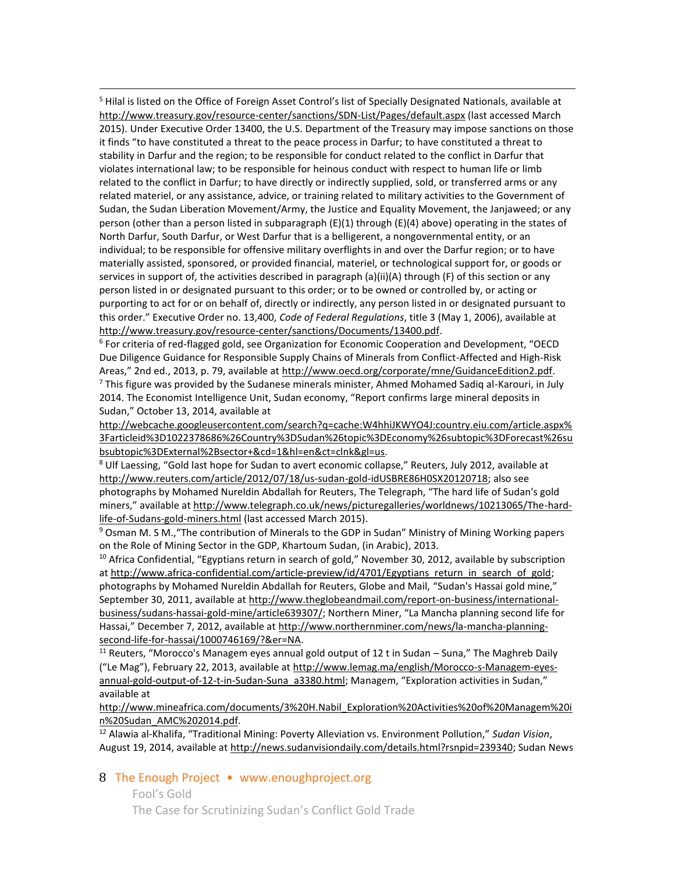$\overline{a}$ <sup>5</sup> Hilal is listed on the Office of Foreign Asset Control's list of Specially Designated Nationals, available at <http://www.treasury.gov/resource-center/sanctions/SDN-List/Pages/default.aspx> (last accessed March 2015). Under Executive Order 13400, the U.S. Department of the Treasury may impose sanctions on those it finds "to have constituted a threat to the peace process in Darfur; to have constituted a threat to stability in Darfur and the region; to be responsible for conduct related to the conflict in Darfur that violates international law; to be responsible for heinous conduct with respect to human life or limb related to the conflict in Darfur; to have directly or indirectly supplied, sold, or transferred arms or any related materiel, or any assistance, advice, or training related to military activities to the Government of Sudan, the Sudan Liberation Movement/Army, the Justice and Equality Movement, the Janjaweed; or any person (other than a person listed in subparagraph (E)(1) through (E)(4) above) operating in the states of North Darfur, South Darfur, or West Darfur that is a belligerent, a nongovernmental entity, or an individual; to be responsible for offensive military overflights in and over the Darfur region; or to have materially assisted, sponsored, or provided financial, materiel, or technological support for, or goods or services in support of, the activities described in paragraph (a)(ii)(A) through (F) of this section or any person listed in or designated pursuant to this order; or to be owned or controlled by, or acting or purporting to act for or on behalf of, directly or indirectly, any person listed in or designated pursuant to this order." Executive Order no. 13,400, *Code of Federal Regulations*, title 3 (May 1, 2006), available at [http://www.treasury.gov/resource-center/sanctions/Documents/13400.pdf.](http://www.treasury.gov/resource-center/sanctions/Documents/13400.pdf)

<sup>6</sup> For criteria of red-flagged gold, see Organization for Economic Cooperation and Development, "OECD Due Diligence Guidance for Responsible Supply Chains of Minerals from Conflict-Affected and High-Risk Areas," 2nd ed., 2013, p. 79, available at [http://www.oecd.org/corporate/mne/GuidanceEdition2.pdf.](http://www.oecd.org/corporate/mne/GuidanceEdition2.pdf)  $<sup>7</sup>$  This figure was provided by the Sudanese minerals minister, Ahmed Mohamed Sadiq al-Karouri, in July</sup> 2014. The Economist Intelligence Unit, Sudan economy, "Report confirms large mineral deposits in Sudan," October 13, 2014, available at

[http://webcache.googleusercontent.com/search?q=cache:W4hhiJKWYO4J:country.eiu.com/article.aspx%](http://webcache.googleusercontent.com/search?q=cache:W4hhiJKWYO4J:country.eiu.com/article.aspx%3Farticleid%3D1022378686%26Country%3DSudan%26topic%3DEconomy%26subtopic%3DForecast%26subsubtopic%3DExternal%2Bsector+&cd=1&hl=en&ct=clnk&gl=us) [3Farticleid%3D1022378686%26Country%3DSudan%26topic%3DEconomy%26subtopic%3DForecast%26su](http://webcache.googleusercontent.com/search?q=cache:W4hhiJKWYO4J:country.eiu.com/article.aspx%3Farticleid%3D1022378686%26Country%3DSudan%26topic%3DEconomy%26subtopic%3DForecast%26subsubtopic%3DExternal%2Bsector+&cd=1&hl=en&ct=clnk&gl=us) [bsubtopic%3DExternal%2Bsector+&cd=1&hl=en&ct=clnk&gl=us.](http://webcache.googleusercontent.com/search?q=cache:W4hhiJKWYO4J:country.eiu.com/article.aspx%3Farticleid%3D1022378686%26Country%3DSudan%26topic%3DEconomy%26subtopic%3DForecast%26subsubtopic%3DExternal%2Bsector+&cd=1&hl=en&ct=clnk&gl=us) 

<sup>8</sup> Ulf Laessing, "Gold last hope for Sudan to avert economic collapse," Reuters, July 2012, available at [http://www.reuters.com/article/2012/07/18/us-sudan-gold-idUSBRE86H0SX20120718;](http://www.reuters.com/article/2012/07/18/us-sudan-gold-idUSBRE86H0SX20120718) also see photographs by Mohamed Nureldin Abdallah for Reuters, The Telegraph, "The hard life of Sudan's gold miners," available at [http://www.telegraph.co.uk/news/picturegalleries/worldnews/10213065/The-hard](http://www.telegraph.co.uk/news/picturegalleries/worldnews/10213065/The-hard-life-of-Sudans-gold-miners.html)[life-of-Sudans-gold-miners.html](http://www.telegraph.co.uk/news/picturegalleries/worldnews/10213065/The-hard-life-of-Sudans-gold-miners.html) (last accessed March 2015).

<sup>9</sup> Osman M. S M.,"The contribution of Minerals to the GDP in Sudan" Ministry of Mining Working papers on the Role of Mining Sector in the GDP, Khartoum Sudan, (in Arabic), 2013.

<sup>10</sup> Africa Confidential, "Egyptians return in search of gold," November 30, 2012, available by subscription at http://www.africa-confidential.com/article-preview/id/4701/Egyptians return in search of gold; photographs by Mohamed Nureldin Abdallah for Reuters, Globe and Mail, "Sudan's Hassai gold mine," September 30, 2011, available a[t http://www.theglobeandmail.com/report-on-business/international](http://www.theglobeandmail.com/report-on-business/international-business/sudans-hassai-gold-mine/article639307/)[business/sudans-hassai-gold-mine/article639307/](http://www.theglobeandmail.com/report-on-business/international-business/sudans-hassai-gold-mine/article639307/); Northern Miner, "La Mancha planning second life for Hassai," December 7, 2012, available at [http://www.northernminer.com/news/la-mancha-planning](http://www.northernminer.com/news/la-mancha-planning-second-life-for-hassai/1000746169/?&er=NA)[second-life-for-hassai/1000746169/?&er=NA.](http://www.northernminer.com/news/la-mancha-planning-second-life-for-hassai/1000746169/?&er=NA)

<sup>11</sup> Reuters, "Morocco's Managem eyes annual gold output of 12 t in Sudan – Suna," The Maghreb Daily ("Le Mag"), February 22, 2013, available at [http://www.lemag.ma/english/Morocco-s-Managem-eyes](http://www.lemag.ma/english/Morocco-s-Managem-eyes-annual-gold-output-of-12-t-in-Sudan-Suna_a3380.html)[annual-gold-output-of-12-t-in-Sudan-Suna\\_a3380.html](http://www.lemag.ma/english/Morocco-s-Managem-eyes-annual-gold-output-of-12-t-in-Sudan-Suna_a3380.html); Managem, "Exploration activities in Sudan," available at

[http://www.mineafrica.com/documents/3%20H.Nabil\\_Exploration%20Activities%20of%20Managem%20i](http://www.mineafrica.com/documents/3%20H.Nabil_Exploration%20Activities%20of%20Managem%20in%20Sudan_AMC%202014.pdf) [n%20Sudan\\_AMC%202014.pdf.](http://www.mineafrica.com/documents/3%20H.Nabil_Exploration%20Activities%20of%20Managem%20in%20Sudan_AMC%202014.pdf)

<sup>12</sup> Alawia al-Khalifa, "Traditional Mining: Poverty Alleviation vs. Environment Pollution," *Sudan Vision*, August 19, 2014, available at [http://news.sudanvisiondaily.com/details.html?rsnpid=239340;](http://news.sudanvisiondaily.com/details.html?rsnpid=239340) Sudan News

8 The Enough Project • www.enoughproject.org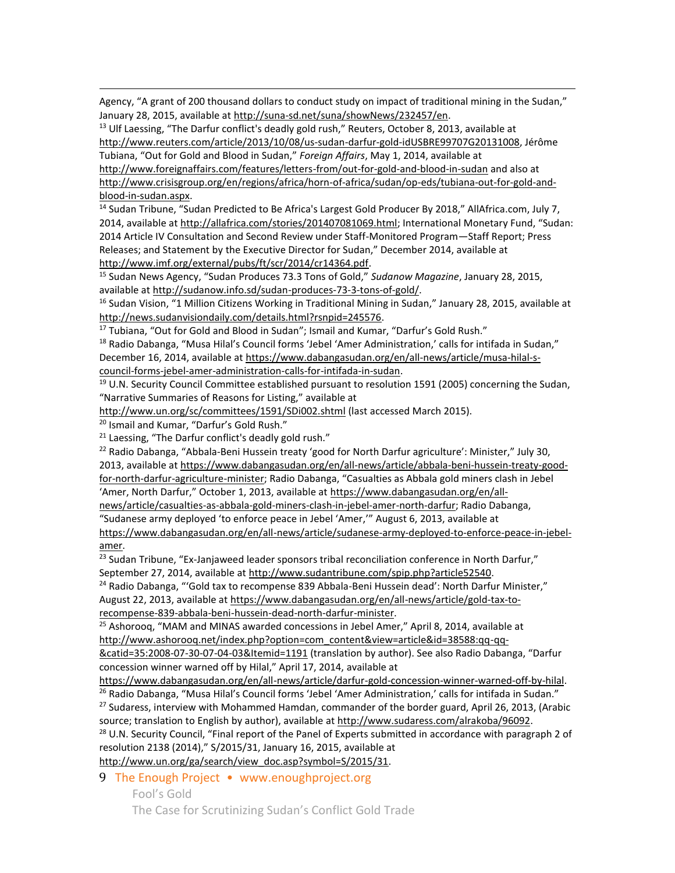Agency, "A grant of 200 thousand dollars to conduct study on impact of traditional mining in the Sudan," January 28, 2015, available at [http://suna-sd.net/suna/showNews/232457/en.](http://suna-sd.net/suna/showNews/232457/en)

 $13$  Ulf Laessing, "The Darfur conflict's deadly gold rush," Reuters, October 8, 2013, available at [http://www.reuters.com/article/2013/10/08/us-sudan-darfur-gold-idUSBRE99707G20131008,](http://www.reuters.com/article/2013/10/08/us-sudan-darfur-gold-idUSBRE99707G20131008) Jérôme Tubiana, "Out for Gold and Blood in Sudan," *Foreign Affairs*, May 1, 2014, available at <http://www.foreignaffairs.com/features/letters-from/out-for-gold-and-blood-in-sudan> and also at [http://www.crisisgroup.org/en/regions/africa/horn-of-africa/sudan/op-eds/tubiana-out-for-gold-and](http://www.crisisgroup.org/en/regions/africa/horn-of-africa/sudan/op-eds/tubiana-out-for-gold-and-blood-in-sudan.aspx)[blood-in-sudan.aspx.](http://www.crisisgroup.org/en/regions/africa/horn-of-africa/sudan/op-eds/tubiana-out-for-gold-and-blood-in-sudan.aspx)

<sup>14</sup> Sudan Tribune, "Sudan Predicted to Be Africa's Largest Gold Producer By 2018," AllAfrica.com, July 7, 2014, available a[t http://allafrica.com/stories/201407081069.html](http://allafrica.com/stories/201407081069.html); International Monetary Fund, "Sudan: 2014 Article IV Consultation and Second Review under Staff-Monitored Program—Staff Report; Press Releases; and Statement by the Executive Director for Sudan," December 2014, available at [http://www.imf.org/external/pubs/ft/scr/2014/cr14364.pdf.](http://www.imf.org/external/pubs/ft/scr/2014/cr14364.pdf)

<sup>15</sup> Sudan News Agency, "Sudan Produces 73.3 Tons of Gold," *Sudanow Magazine*, January 28, 2015, available a[t http://sudanow.info.sd/sudan-produces-73-3-tons-of-gold/.](http://sudanow.info.sd/sudan-produces-73-3-tons-of-gold/) 

<sup>16</sup> Sudan Vision, "1 Million Citizens Working in Traditional Mining in Sudan," January 28, 2015, available at [http://news.sudanvisiondaily.com/details.html?rsnpid=245576.](http://news.sudanvisiondaily.com/details.html?rsnpid=245576)

<sup>17</sup> Tubiana, "Out for Gold and Blood in Sudan"; Ismail and Kumar, "Darfur's Gold Rush."

 $18$  Radio Dabanga, "Musa Hilal's Council forms 'Jebel 'Amer Administration,' calls for intifada in Sudan," December 16, 2014, available at [https://www.dabangasudan.org/en/all-news/article/musa-hilal-s](https://www.dabangasudan.org/en/all-news/article/musa-hilal-s-council-forms-jebel-amer-administration-calls-for-intifada-in-sudan)[council-forms-jebel-amer-administration-calls-for-intifada-in-sudan.](https://www.dabangasudan.org/en/all-news/article/musa-hilal-s-council-forms-jebel-amer-administration-calls-for-intifada-in-sudan)

<sup>19</sup> U.N. Security Council Committee established pursuant to resolution 1591 (2005) concerning the Sudan, "Narrative Summaries of Reasons for Listing," available at

<http://www.un.org/sc/committees/1591/SDi002.shtml> (last accessed March 2015).

<sup>20</sup> Ismail and Kumar, "Darfur's Gold Rush."

 $\overline{a}$ 

 $21$  Laessing, "The Darfur conflict's deadly gold rush."

<sup>22</sup> Radio Dabanga, "Abbala-Beni Hussein treaty 'good for North Darfur agriculture': Minister," July 30, 2013, available a[t https://www.dabangasudan.org/en/all-news/article/abbala-beni-hussein-treaty-good](https://www.dabangasudan.org/en/all-news/article/abbala-beni-hussein-treaty-good-for-north-darfur-agriculture-minister)[for-north-darfur-agriculture-minister;](https://www.dabangasudan.org/en/all-news/article/abbala-beni-hussein-treaty-good-for-north-darfur-agriculture-minister) Radio Dabanga, "Casualties as Abbala gold miners clash in Jebel 'Amer, North Darfur," October 1, 2013, available at [https://www.dabangasudan.org/en/all-](https://www.dabangasudan.org/en/all-news/article/casualties-as-abbala-gold-miners-clash-in-jebel-amer-north-darfur)

[news/article/casualties-as-abbala-gold-miners-clash-in-jebel-amer-north-darfur;](https://www.dabangasudan.org/en/all-news/article/casualties-as-abbala-gold-miners-clash-in-jebel-amer-north-darfur) Radio Dabanga, "Sudanese army deployed 'to enforce peace in Jebel 'Amer,'" August 6, 2013, available at [https://www.dabangasudan.org/en/all-news/article/sudanese-army-deployed-to-enforce-peace-in-jebel](https://www.dabangasudan.org/en/all-news/article/sudanese-army-deployed-to-enforce-peace-in-jebel-amer)[amer.](https://www.dabangasudan.org/en/all-news/article/sudanese-army-deployed-to-enforce-peace-in-jebel-amer)

 $23$  Sudan Tribune, "Ex-Janjaweed leader sponsors tribal reconciliation conference in North Darfur," September 27, 2014, available a[t http://www.sudantribune.com/spip.php?article52540.](http://www.sudantribune.com/spip.php?article52540)

<sup>24</sup> Radio Dabanga, "'Gold tax to recompense 839 Abbala-Beni Hussein dead': North Darfur Minister," August 22, 2013, available at [https://www.dabangasudan.org/en/all-news/article/gold-tax-to](https://www.dabangasudan.org/en/all-news/article/gold-tax-to-recompense-839-abbala-beni-hussein-dead-north-darfur-minister)[recompense-839-abbala-beni-hussein-dead-north-darfur-minister.](https://www.dabangasudan.org/en/all-news/article/gold-tax-to-recompense-839-abbala-beni-hussein-dead-north-darfur-minister)

 $25$  Ashoroog, "MAM and MINAS awarded concessions in Jebel Amer," April 8, 2014, available at [http://www.ashorooq.net/index.php?option=com\\_content&view=article&id=38588:qq-qq-](http://www.ashorooq.net/index.php?option=com_content&view=article&id=38588:qq-qq-&catid=35:2008-07-30-07-04-03&Itemid=1191)

[&catid=35:2008-07-30-07-04-03&Itemid=1191](http://www.ashorooq.net/index.php?option=com_content&view=article&id=38588:qq-qq-&catid=35:2008-07-30-07-04-03&Itemid=1191) (translation by author). See also Radio Dabanga, "Darfur concession winner warned off by Hilal," April 17, 2014, available at

[https://www.dabangasudan.org/en/all-news/article/darfur-gold-concession-winner-warned-off-by-hilal.](https://www.dabangasudan.org/en/all-news/article/darfur-gold-concession-winner-warned-off-by-hilal)

<sup>26</sup> Radio Dabanga, "Musa Hilal's Council forms 'Jebel 'Amer Administration,' calls for intifada in Sudan." <sup>27</sup> Sudaress, interview with Mohammed Hamdan, commander of the border guard, April 26, 2013, (Arabic source; translation to English by author), available at http://www.sudaress.com/alrakoba/96092.

<sup>28</sup> U.N. Security Council, "Final report of the Panel of Experts submitted in accordance with paragraph 2 of resolution 2138 (2014)," S/2015/31, January 16, 2015, available at

[http://www.un.org/ga/search/view\\_doc.asp?symbol=S/2015/31.](http://www.un.org/ga/search/view_doc.asp?symbol=S/2015/31)

9 The Enough Project • www.enoughproject.org Fool's Gold

The Case for Scrutinizing Sudan's Conflict Gold Trade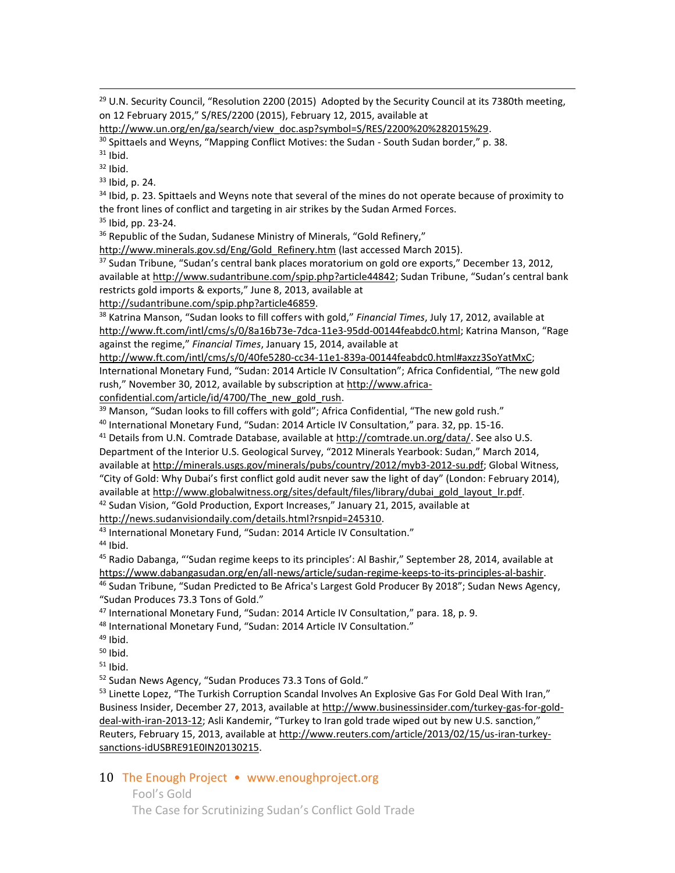<sup>29</sup> U.N. Security Council, "Resolution 2200 (2015) Adopted by the Security Council at its 7380th meeting, on 12 February 2015," S/RES/2200 (2015), February 12, 2015, available at

[http://www.un.org/en/ga/search/view\\_doc.asp?symbol=S/RES/2200%20%282015%29.](http://www.un.org/en/ga/search/view_doc.asp?symbol=S/RES/2200%20%282015%29)

<sup>30</sup> Spittaels and Weyns, "Mapping Conflict Motives: the Sudan - South Sudan border," p. 38.

 $31$  Ibid.

 $\overline{a}$ 

 $32$  Ibid.

<sup>33</sup> Ibid, p. 24.

<sup>34</sup> Ibid, p. 23. Spittaels and Weyns note that several of the mines do not operate because of proximity to the front lines of conflict and targeting in air strikes by the Sudan Armed Forces.

<sup>35</sup> Ibid, pp. 23-24.

<sup>36</sup> Republic of the Sudan, Sudanese Ministry of Minerals, "Gold Refinery,"

http://www.minerals.gov.sd/Eng/Gold Refinery.htm (last accessed March 2015).

<sup>37</sup> Sudan Tribune, "Sudan's central bank places moratorium on gold ore exports," December 13, 2012, available a[t http://www.sudantribune.com/spip.php?article44842](http://www.sudantribune.com/spip.php?article44842); Sudan Tribune, "Sudan's central bank restricts gold imports & exports," June 8, 2013, available at

[http://sudantribune.com/spip.php?article46859.](http://sudantribune.com/spip.php?article46859)

<sup>38</sup> Katrina Manson, "Sudan looks to fill coffers with gold," *Financial Times*, July 17, 2012, available at <http://www.ft.com/intl/cms/s/0/8a16b73e-7dca-11e3-95dd-00144feabdc0.html>; Katrina Manson, "Rage against the regime," *Financial Times*, January 15, 2014, available at

[http://www.ft.com/intl/cms/s/0/40fe5280-cc34-11e1-839a-00144feabdc0.html#axzz3SoYatMxC;](http://www.ft.com/intl/cms/s/0/40fe5280-cc34-11e1-839a-00144feabdc0.html#axzz3SoYatMxC) International Monetary Fund, "Sudan: 2014 Article IV Consultation"; Africa Confidential, "The new gold rush," November 30, 2012, available by subscription at [http://www.africa-](http://www.africa-confidential.com/article/id/4700/The_new_gold_rush)

[confidential.com/article/id/4700/The\\_new\\_gold\\_rush.](http://www.africa-confidential.com/article/id/4700/The_new_gold_rush)

 $39$  Manson, "Sudan looks to fill coffers with gold"; Africa Confidential, "The new gold rush."

<sup>40</sup> International Monetary Fund, "Sudan: 2014 Article IV Consultation," para. 32, pp. 15-16.

<sup>41</sup> Details from U.N. Comtrade Database, available at [http://comtrade.un.org/data/.](http://comtrade.un.org/data/-) See also U.S.

Department of the Interior U.S. Geological Survey, "2012 Minerals Yearbook: Sudan," March 2014, available a[t http://minerals.usgs.gov/minerals/pubs/country/2012/myb3-2012-su.pdf;](http://minerals.usgs.gov/minerals/pubs/country/2012/myb3-2012-su.pdf) Global Witness, "City of Gold: Why Dubai's first conflict gold audit never saw the light of day" (London: February 2014), available a[t http://www.globalwitness.org/sites/default/files/library/dubai\\_gold\\_layout\\_lr.pdf.](http://www.globalwitness.org/sites/default/files/library/dubai_gold_layout_lr.pdf)

 $42$  Sudan Vision, "Gold Production, Export Increases," January 21, 2015, available at

[http://news.sudanvisiondaily.com/details.html?rsnpid=245310.](http://news.sudanvisiondaily.com/details.html?rsnpid=245310)

43 International Monetary Fund, "Sudan: 2014 Article IV Consultation."

 $44$  Ibid.

<sup>45</sup> Radio Dabanga, "'Sudan regime keeps to its principles': Al Bashir," September 28, 2014, available at [https://www.dabangasudan.org/en/all-news/article/sudan-regime-keeps-to-its-principles-al-bashir.](https://www.dabangasudan.org/en/all-news/article/sudan-regime-keeps-to-its-principles-al-bashir) <sup>46</sup> Sudan Tribune, "Sudan Predicted to Be Africa's Largest Gold Producer By 2018"; Sudan News Agency,

"Sudan Produces 73.3 Tons of Gold."

47 International Monetary Fund, "Sudan: 2014 Article IV Consultation," para. 18, p. 9.

<sup>48</sup> International Monetary Fund, "Sudan: 2014 Article IV Consultation."

 $49$  Ibid.

 $50$  Ibid.

 $51$  Ibid.

<sup>52</sup> Sudan News Agency, "Sudan Produces 73.3 Tons of Gold."

<sup>53</sup> Linette Lopez, "The Turkish Corruption Scandal Involves An Explosive Gas For Gold Deal With Iran," Business Insider, December 27, 2013, available a[t http://www.businessinsider.com/turkey-gas-for-gold](http://www.businessinsider.com/turkey-gas-for-gold-deal-with-iran-2013-12)[deal-with-iran-2013-12](http://www.businessinsider.com/turkey-gas-for-gold-deal-with-iran-2013-12); Asli Kandemir, "Turkey to Iran gold trade wiped out by new U.S. sanction," Reuters, February 15, 2013, available at [http://www.reuters.com/article/2013/02/15/us-iran-turkey](http://www.reuters.com/article/2013/02/15/us-iran-turkey-sanctions-idUSBRE91E0IN20130215)[sanctions-idUSBRE91E0IN20130215.](http://www.reuters.com/article/2013/02/15/us-iran-turkey-sanctions-idUSBRE91E0IN20130215) 

#### 10 The Enough Project • www.enoughproject.org

Fool's Gold

The Case for Scrutinizing Sudan's Conflict Gold Trade